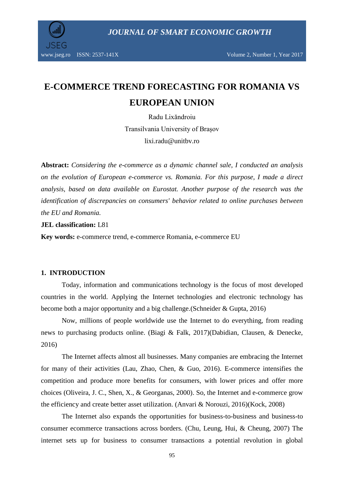

www.jseg.ro ISSN: 2537-141X Volume 2, Number 1, Year 2017

# **E-COMMERCE TREND FORECASTING FOR ROMANIA VS EUROPEAN UNION**

Radu Lixăndroiu Transilvania University of Brașov lixi.radu@unitbv.ro

**Abstract:** *Considering the e-commerce as a dynamic channel sale, I conducted an analysis on the evolution of European e-commerce vs. Romania. For this purpose, I made a direct analysis, based on data available on Eurostat. Another purpose of the research was the identification of discrepancies on consumers' behavior related to online purchases between the EU and Romania.*

**JEL classification:** L81

**Key words:** e-commerce trend, e-commerce Romania, e-commerce EU

### **1. INTRODUCTION**

Today, information and communications technology is the focus of most developed countries in the world. Applying the Internet technologies and electronic technology has become both a major opportunity and a big challenge.(Schneider & Gupta, 2016)

Now, millions of people worldwide use the Internet to do everything, from reading news to purchasing products online. (Biagi & Falk, 2017)(Dabidian, Clausen, & Denecke, 2016)

The Internet affects almost all businesses. Many companies are embracing the Internet for many of their activities (Lau, Zhao, Chen, & Guo, 2016). E-commerce intensifies the competition and produce more benefits for consumers, with lower prices and offer more choices (Oliveira, J. C., Shen, X., & Georganas, 2000). So, the Internet and e-commerce grow the efficiency and create better asset utilization. (Anvari & Norouzi, 2016)(Kock, 2008)

The Internet also expands the opportunities for business-to-business and business-to consumer ecommerce transactions across borders. (Chu, Leung, Hui, & Cheung, 2007) The internet sets up for business to consumer transactions a potential revolution in global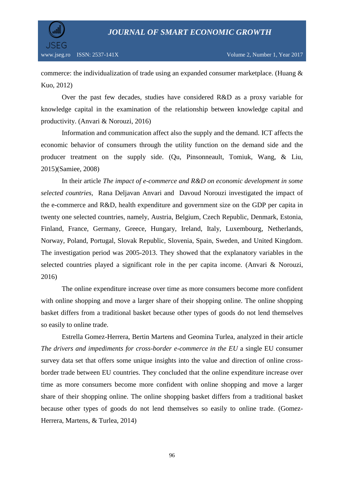

commerce: the individualization of trade using an expanded consumer marketplace. (Huang & Kuo, 2012)

Over the past few decades, studies have considered R&D as a proxy variable for knowledge capital in the examination of the relationship between knowledge capital and productivity. (Anvari & Norouzi, 2016)

Information and communication affect also the supply and the demand. ICT affects the economic behavior of consumers through the utility function on the demand side and the producer treatment on the supply side. (Qu, Pinsonneault, Tomiuk, Wang, & Liu, 2015)(Samiee, 2008)

In their article *The impact of e-commerce and R&D on economic development in some selected countries,* Rana Deljavan Anvari and Davoud Norouzi investigated the impact of the e-commerce and R&D, health expenditure and government size on the GDP per capita in twenty one selected countries, namely, Austria, Belgium, Czech Republic, Denmark, Estonia, Finland, France, Germany, Greece, Hungary, Ireland, Italy, Luxembourg, Netherlands, Norway, Poland, Portugal, Slovak Republic, Slovenia, Spain, Sweden, and United Kingdom. The investigation period was 2005-2013. They showed that the explanatory variables in the selected countries played a significant role in the per capita income. (Anvari & Norouzi, 2016)

The online expenditure increase over time as more consumers become more confident with online shopping and move a larger share of their shopping online. The online shopping basket differs from a traditional basket because other types of goods do not lend themselves so easily to online trade.

Estrella Gomez-Herrera, Bertin Martens and Geomina Turlea, analyzed in their article *The drivers and impediments for cross-border e-commerce in the EU* a single EU consumer survey data set that offers some unique insights into the value and direction of online crossborder trade between EU countries. They concluded that the online expenditure increase over time as more consumers become more confident with online shopping and move a larger share of their shopping online. The online shopping basket differs from a traditional basket because other types of goods do not lend themselves so easily to online trade. (Gomez-Herrera, Martens, & Turlea, 2014)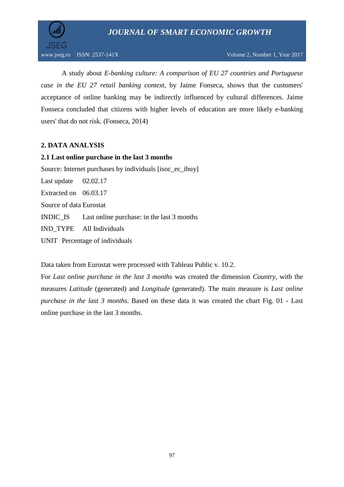

A study about *E-banking culture: A comparison of EU 27 countries and Portuguese case in the EU 27 retail banking context,* by Jaime Fonseca, shows that the customers' acceptance of online banking may be indirectly influenced by cultural differences. Jaime Fonseca concluded that citizens with higher levels of education are more likely e-banking users' that do not risk. (Fonseca, 2014)

## **2. DATA ANALYSIS**

### **2.1 Last online purchase in the last 3 months**

Source: Internet purchases by individuals [isoc\_ec\_ibuy] Last update 02.02.17

Extracted on 06.03.17

Source of data Eurostat

INDIC\_IS Last online purchase: in the last 3 months

IND\_TYPE All Individuals

UNIT Percentage of individuals

Data taken from Eurostat were processed with Tableau Public v. 10.2.

For *Last online purchase in the last 3 months* was created the dimension *Country*, with the measures *Latitude* (generated) and *Longitude* (generated). The main measure is *Last online purchase in the last 3 months.* Based on these data it was created the chart Fig. 01 - Last online purchase in the last 3 months.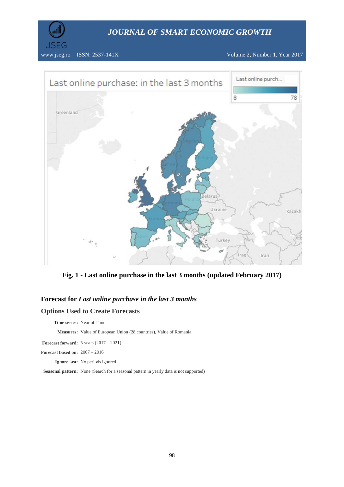



**Fig. 1 - Last online purchase in the last 3 months (updated February 2017)**

### **Forecast for** *Last online purchase in the last 3 months*

### **Options Used to Create Forecasts**

**Time series:** Year of Time **Measures:** Value of European Union (28 countries), Value of Romania

**Forecast forward:** 5 years (2017 – 2021)

**Forecast based on:** 2007 – 2016

**Ignore last:** No periods ignored

**Seasonal pattern:** None (Search for a seasonal pattern in yearly data is not supported)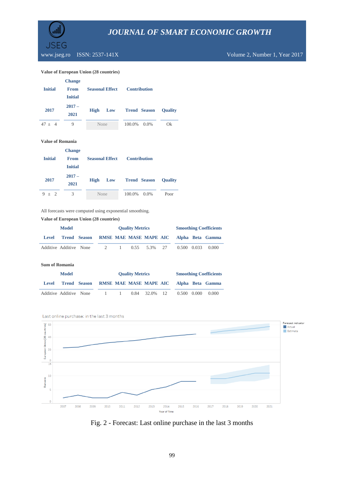

www.jseg.ro ISSN: 2537-141X Volume 2, Number 1, Year 2017

#### **Value of European Union (28 countries)**

| <b>Initial</b> | <b>Change</b><br><b>From</b><br><b>Initial</b> | <b>Seasonal Effect</b> | <b>Contribution</b> |                |
|----------------|------------------------------------------------|------------------------|---------------------|----------------|
| 2017           | $2017 -$<br>2021                               | High<br>Low            | <b>Trend Season</b> | <b>Ouality</b> |
| $47 \pm 4$     | Q                                              | None                   | 100.0%<br>$0.0\%$   | Ok             |

#### **Value of Romania**

| <b>Initial</b> | <b>Change</b><br><b>From</b><br><b>Initial</b> | <b>Seasonal Effect</b> |     |        | <b>Contribution</b> |                |
|----------------|------------------------------------------------|------------------------|-----|--------|---------------------|----------------|
| 2017           | $2017 -$<br>2021                               | <b>High</b>            | Low |        | <b>Trend Season</b> | <b>Ouality</b> |
| $+2$           | 3                                              | None                   |     | 100.0% | $0.0\%$             | Poor           |

All forecasts were computed using exponential smoothing.

#### **Value of European Union (28 countries)**

| <b>Model</b>           |                     |  | <b>Quality Metrics</b> |          |  |                |  | <b>Smoothing Coefficients</b> |  |                                                |
|------------------------|---------------------|--|------------------------|----------|--|----------------|--|-------------------------------|--|------------------------------------------------|
| Level                  | <b>Trend Season</b> |  |                        |          |  |                |  |                               |  | <b>RMSE MAE MASE MAPE AIC</b> Alpha Beta Gamma |
| Additive Additive None |                     |  | $\overline{2}$         | $\sim$ 1 |  | $0.55$ 5.3% 27 |  | 0.500 0.033                   |  | 0.000                                          |

#### **Sum of Romania**

| <b>Model</b>           |  |                     | <b>Ouality Metrics</b> |  |  |                |  | <b>Smoothing Coefficients</b> |  |                                         |
|------------------------|--|---------------------|------------------------|--|--|----------------|--|-------------------------------|--|-----------------------------------------|
| Level                  |  | <b>Trend Season</b> |                        |  |  |                |  |                               |  | RMSE MAE MASE MAPE AIC Alpha Beta Gamma |
| Additive Additive None |  |                     | and the contract       |  |  | 0.84 32.0\% 12 |  | 0.500 0.000                   |  | 0.000                                   |



Fig. 2 - Forecast: Last online purchase in the last 3 months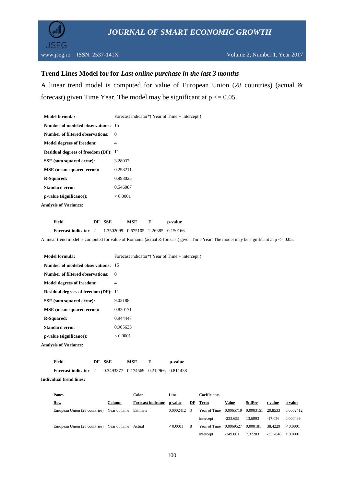

#### **Trend Lines Model for for** *Last online purchase in the last 3 months*

A linear trend model is computed for value of European Union (28 countries) (actual & forecast) given Time Year. The model may be significant at  $p \le 0.05$ .

| <b>Model formula:</b>                       | Forecast indicator*(Year of Time $+$ intercept) |
|---------------------------------------------|-------------------------------------------------|
| Number of modeled observations: 15          |                                                 |
| Number of filtered observations:            | $\Omega$                                        |
| Model degrees of freedom:                   | 4                                               |
| <b>Residual degrees of freedom (DF): 11</b> |                                                 |
| SSE (sum squared error):                    | 3.28032                                         |
| <b>MSE</b> (mean squared error):            | 0.298211                                        |
| <b>R-Squared:</b>                           | 0.998025                                        |
| <b>Standard error:</b>                      | 0.546087                                        |
| p-value (significance):                     | < 0.0001                                        |
| <b>Analysis of Variance:</b>                |                                                 |

| Field                       | DF SSE                              | MSE | p-value |
|-----------------------------|-------------------------------------|-----|---------|
| <b>Forecast indicator</b> 2 | 1.3502099 0.675105 2.26385 0.150166 |     |         |

A linear trend model is computed for value of Romania (actual & forecast) given Time Year. The model may be significant at p <= 0.05.

| <b>Model formula:</b>                       | Forecast indicator*(Year of Time $+$ intercept) |
|---------------------------------------------|-------------------------------------------------|
| Number of modeled observations: 15          |                                                 |
| Number of filtered observations:            | $\Omega$                                        |
| <b>Model degrees of freedom:</b>            | 4                                               |
| <b>Residual degrees of freedom (DF): 11</b> |                                                 |
| SSE (sum squared error):                    | 9.02188                                         |
| <b>MSE</b> (mean squared error):            | 0.820171                                        |
| <b>R-Squared:</b>                           | 0.944447                                        |
| <b>Standard error:</b>                      | 0.905633                                        |
| p-value (significance):                     | < 0.0001                                        |
| <b>Analysis of Variance:</b>                |                                                 |

| Field<br>$\sim$ $\sim$ $\sim$ $\sim$ | DF SSE                               | MSE | p-value |
|--------------------------------------|--------------------------------------|-----|---------|
| <b>Forecast indicator</b> 2          | 0.3493377 0.174669 0.212966 0.811438 |     |         |

**Individual trend lines:**

| <b>Panes</b>                                        |        | Color                     | Line                |    | <b>Coefficients</b>      |            |           |            |           |
|-----------------------------------------------------|--------|---------------------------|---------------------|----|--------------------------|------------|-----------|------------|-----------|
| <b>Row</b>                                          | Column | <b>Forecast indicator</b> | p-value             | DF | Term                     | Value      | StdErr    | t-value    | p-value   |
| European Union (28 countries) Year of Time Estimate |        |                           | $0.0002412 \quad 3$ |    | Year of Time $0.0065719$ |            | 0.0003151 | 20.8533    | 0.0002412 |
|                                                     |        |                           |                     |    | intercept                | $-233.655$ | 13.6993   | $-17.056$  | 0.000439  |
| European Union (28 countries) Year of Time Actual   |        |                           | < 0.0001            | 8  | Year of Time             | 0.0069527  | 0.000181  | 38.4229    | < 0.0001  |
|                                                     |        |                           |                     |    | intercept                | $-249.061$ | 7.37203   | $-33.7846$ | < 0.0001  |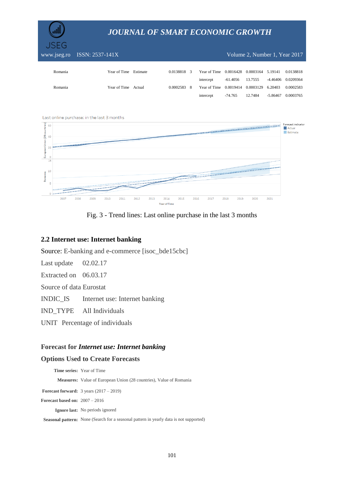

www.jseg.ro ISSN: 2537-141X Volume 2, Number 1, Year 2017

| Romania | Year of Time Estimate | 0.0138818 | 3  | Year of Time 0.0016428 0.0003164 5.19141 |          |         |          | 0.0138818          |
|---------|-----------------------|-----------|----|------------------------------------------|----------|---------|----------|--------------------|
|         |                       |           |    | intercept                                | -61.4056 | 13.7555 |          | -4.46406 0.0209364 |
| Romania | Year of Time Actual   | 0.0002583 | -8 | Year of Time 0.0019414 0.0003129 6.20403 |          |         |          | 0.0002583          |
|         |                       |           |    | intercept                                | -74.765  | 12.7484 | -5.86467 | 0.0003765          |





Fig. 3 - Trend lines: Last online purchase in the last 3 months

## **2.2 Internet use: Internet banking**

Source: E-banking and e-commerce [isoc\_bde15cbc]

Last update 02.02.17

Extracted on 06.03.17

Source of data Eurostat

INDIC\_IS Internet use: Internet banking

IND\_TYPE All Individuals

UNIT Percentage of individuals

### **Forecast for** *Internet use: Internet banking*

#### **Options Used to Create Forecasts**

**Time series:** Year of Time **Measures:** Value of European Union (28 countries), Value of Romania **Forecast forward:** 3 years (2017 – 2019) **Forecast based on:** 2007 – 2016 **Ignore last:** No periods ignored

**Seasonal pattern:** None (Search for a seasonal pattern in yearly data is not supported)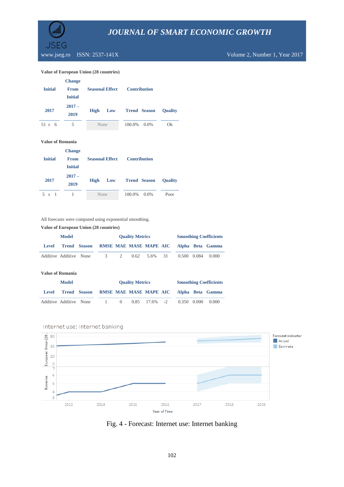

www.jseg.ro ISSN: 2537-141X Volume 2, Number 1, Year 2017

#### **Value of European Union (28 countries)**

|                | <b>Change</b>    |                        |     |                     |                     |                |
|----------------|------------------|------------------------|-----|---------------------|---------------------|----------------|
| <b>Initial</b> | <b>From</b>      | <b>Seasonal Effect</b> |     | <b>Contribution</b> |                     |                |
|                | <b>Initial</b>   |                        |     |                     |                     |                |
| 2017           | $2017 -$<br>2019 | High                   | Low |                     | <b>Trend Season</b> | <b>Ouality</b> |
| $51 + 6$       | 5                | None                   |     | 100.0%              | $0.0\%$             | Ok             |

#### **Value of Romania**

| <b>Initial</b> | <b>Change</b><br><b>From</b><br><b>Initial</b> | <b>Seasonal Effect</b> | <b>Contribution</b> |                |
|----------------|------------------------------------------------|------------------------|---------------------|----------------|
| 2017           | $2017 -$<br>2019                               | Low<br><b>High</b>     | <b>Trend Season</b> | <b>Ouality</b> |
| $5 + 1$        |                                                | None                   | 100.0%<br>0.0%      | Poor           |

All forecasts were computed using exponential smoothing.

#### **Value of European Union (28 countries)**

|                        | Model               |  | <b>Ouality Metrics</b> | <b>Smoothing Coefficients</b> |      |         |  |             |  |                                         |
|------------------------|---------------------|--|------------------------|-------------------------------|------|---------|--|-------------|--|-----------------------------------------|
| Level                  | <b>Trend Season</b> |  |                        |                               |      |         |  |             |  | RMSE MAE MASE MAPE AIC Alpha Beta Gamma |
| Additive Additive None |                     |  | $\mathcal{R}$          | $\mathcal{D}$                 | 0.62 | 5.6% 31 |  | 0.500 0.084 |  | 0.000                                   |

#### **Value of Romania**

| Model                  |                     |  | <b>Ouality Metrics</b> |                  |  |                   |  | <b>Smoothing Coefficients</b> |  |                                         |  |
|------------------------|---------------------|--|------------------------|------------------|--|-------------------|--|-------------------------------|--|-----------------------------------------|--|
| Level                  | <b>Trend Season</b> |  |                        |                  |  |                   |  |                               |  | RMSE MAE MASE MAPE AIC Alpha Beta Gamma |  |
| Additive Additive None |                     |  | $\mathbf{I}$           | $\left( \right)$ |  | $0.85$ 17.6% $-2$ |  | $0.350 \quad 0.000$           |  | 0.000                                   |  |



Internet use: Internet banking

Fig. 4 - Forecast: Internet use: Internet banking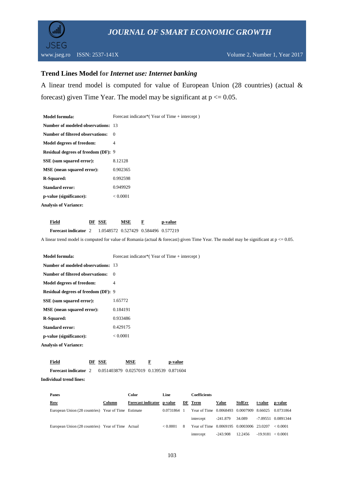

### **Trend Lines Model for** *Internet use: Internet banking*

A linear trend model is computed for value of European Union (28 countries) (actual & forecast) given Time Year. The model may be significant at  $p \le 0.05$ .

| <b>Model formula:</b>                      | Forecast indicator*(Year of Time + intercept) |
|--------------------------------------------|-----------------------------------------------|
| <b>Number of modeled observations:</b> 13  |                                               |
| <b>Number of filtered observations:</b>    | $\Omega$                                      |
| <b>Model degrees of freedom:</b>           | 4                                             |
| <b>Residual degrees of freedom (DF): 9</b> |                                               |
| SSE (sum squared error):                   | 8.12128                                       |
| <b>MSE</b> (mean squared error):           | 0.902365                                      |
| <b>R-Squared:</b>                          | 0.992598                                      |
| <b>Standard error:</b>                     | 0.949929                                      |
| p-value (significance):                    | < 0.0001                                      |
| <b>Analysis of Variance:</b>               |                                               |
|                                            |                                               |

| Field                       | DF SSE                               | MSE | p-value |
|-----------------------------|--------------------------------------|-----|---------|
| <b>Forecast indicator</b> 2 | 1.0548572 0.527429 0.584496 0.577219 |     |         |

A linear trend model is computed for value of Romania (actual & forecast) given Time Year. The model may be significant at  $p \le 0.05$ .

| <b>Model formula:</b>                      | Forecast indicator*(Year of Time + intercept) |
|--------------------------------------------|-----------------------------------------------|
| <b>Number of modeled observations: 13</b>  |                                               |
| <b>Number of filtered observations:</b>    | $\Omega$                                      |
| Model degrees of freedom:                  | 4                                             |
| <b>Residual degrees of freedom (DF): 9</b> |                                               |
| SSE (sum squared error):                   | 1.65772                                       |
| <b>MSE</b> (mean squared error):           | 0.184191                                      |
| <b>R-Squared:</b>                          | 0.933486                                      |
| <b>Standard error:</b>                     | 0.429175                                      |
| p-value (significance):                    | < 0.0001                                      |
| <b>Analysis of Variance:</b>               |                                               |

| Field                       | DF SSE                                  | MSE | p-value |
|-----------------------------|-----------------------------------------|-----|---------|
| <b>Forecast indicator</b> 2 | 0.051403879 0.0257019 0.139539 0.871604 |     |         |

**Individual trend lines:**

| Panes                                               |        | Color                      | Line        |   | <b>Coefficients</b>                      |            |         |                     |                    |
|-----------------------------------------------------|--------|----------------------------|-------------|---|------------------------------------------|------------|---------|---------------------|--------------------|
| <b>Row</b>                                          | Column | Forecast indicator p-value |             |   | DF Term                                  | Value      | StdErr  | t-value             | p-value            |
| European Union (28 countries) Year of Time Estimate |        |                            | 0.0731864 1 |   | Year of Time 0.0068493 0.0007909 8.66025 |            |         |                     | 0.0731864          |
|                                                     |        |                            |             |   | intercept                                | -241.879   | 34.089  |                     | -7.09551 0.0891344 |
| European Union (28 countries) Year of Time Actual   |        |                            | < 0.0001    | 8 | Year of Time 0.0069195 0.0003006 23.0207 |            |         |                     | < 0.0001           |
|                                                     |        |                            |             |   | intercept                                | $-243.908$ | 12.2456 | $-19.9181 < 0.0001$ |                    |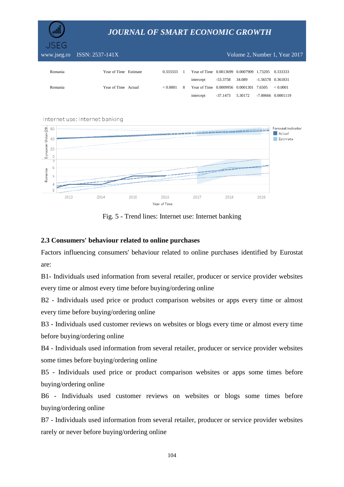

www.jseg.ro ISSN: 2537-141X Volume 2, Number 1, Year 2017

| Romania | Year of Time Estimate | 0.333333 |   | Year of Time 0.0013699 0.0007909 1.73205 0.333333 |                 |                                           |                   |  |
|---------|-----------------------|----------|---|---------------------------------------------------|-----------------|-------------------------------------------|-------------------|--|
|         |                       |          |   | intercept                                         | -53.3758 34.089 |                                           | -1.56578 0.361831 |  |
| Romania | Year of Time Actual   | < 0.0001 | 8 | Year of Time 0.0009956 0.0001301 7.6505           |                 |                                           | < 0.0001          |  |
|         |                       |          |   | intercept                                         |                 | -37.1473   5.30172   -7.00666   0.0001119 |                   |  |

#### Internet use: Internet banking



Fig. 5 - Trend lines: Internet use: Internet banking

### **2.3 Consumers' behaviour related to online purchases**

Factors influencing consumers' behaviour related to online purchases identified by Eurostat are:

B1- Individuals used information from several retailer, producer or service provider websites every time or almost every time before buying/ordering online

B2 - Individuals used price or product comparison websites or apps every time or almost every time before buying/ordering online

B3 - Individuals used customer reviews on websites or blogs every time or almost every time before buying/ordering online

B4 - Individuals used information from several retailer, producer or service provider websites some times before buying/ordering online

B5 - Individuals used price or product comparison websites or apps some times before buying/ordering online

B6 - Individuals used customer reviews on websites or blogs some times before buying/ordering online

B7 - Individuals used information from several retailer, producer or service provider websites rarely or never before buying/ordering online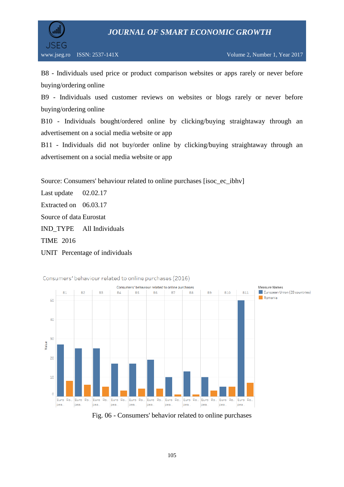

B8 - Individuals used price or product comparison websites or apps rarely or never before buying/ordering online

B9 - Individuals used customer reviews on websites or blogs rarely or never before buying/ordering online

B10 - Individuals bought/ordered online by clicking/buying straightaway through an advertisement on a social media website or app

B11 - Individuals did not buy/order online by clicking/buying straightaway through an advertisement on a social media website or app

Source: Consumers' behaviour related to online purchases [isoc\_ec\_ibhv]

Last update 02.02.17

Extracted on 06.03.17

Source of data Eurostat

IND\_TYPE All Individuals

TIME 2016

UNIT Percentage of individuals



Consumers' behaviour related to online purchases (2016)

Fig. 06 - Consumers' behavior related to online purchases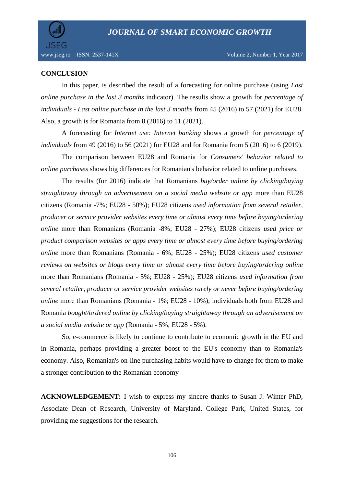

## **CONCLUSION**

In this paper, is described the result of a forecasting for online purchase (using *Last online purchase in the last 3 months* indicator). The results show a growth for *percentage of individuals* - *Last online purchase in the last 3 months* from 45 (2016) to 57 (2021) for EU28. Also, a growth is for Romania from 8 (2016) to 11 (2021).

A forecasting for *Internet use: Internet banking* shows a growth for *percentage of individuals* from 49 (2016) to 56 (2021) for EU28 and for Romania from 5 (2016) to 6 (2019).

The comparison between EU28 and Romania for *Consumers' behavior related to online purchases* shows big differences for Romanian's behavior related to online purchases.

The results (for 2016) indicate that Romanians *buy/order online by clicking/buying straightaway through an advertisement on a social media website or app* more than EU28 citizens (Romania -7%; EU28 - 50%); EU28 citizens *used information from several retailer, producer or service provider websites every time or almost every time before buying/ordering online* more than Romanians (Romania -8%; EU28 - 27%); EU28 citizens *used price or product comparison websites or apps every time or almost every time before buying/ordering online* more than Romanians (Romania - 6%; EU28 - 25%); EU28 citizens *used customer reviews on websites or blogs every time or almost every time before buying/ordering online* more than Romanians (Romania - 5%; EU28 - 25%); EU28 citizens *used information from several retailer, producer or service provider websites rarely or never before buying/ordering online* more than Romanians (Romania - 1%; EU28 - 10%); individuals both from EU28 and Romania *bought/ordered online by clicking/buying straightaway through an advertisement on a social media website or app* (Romania - 5%; EU28 - 5%).

So, e-commerce is likely to continue to contribute to economic growth in the EU and in Romania, perhaps providing a greater boost to the EU's economy than to Romania's economy. Also, Romanian's on-line purchasing habits would have to change for them to make a stronger contribution to the Romanian economy

**ACKNOWLEDGEMENT:** I wish to express my sincere thanks to Susan J. Winter PhD, Associate Dean of Research, University of Maryland, College Park, United States, for providing me suggestions for the research.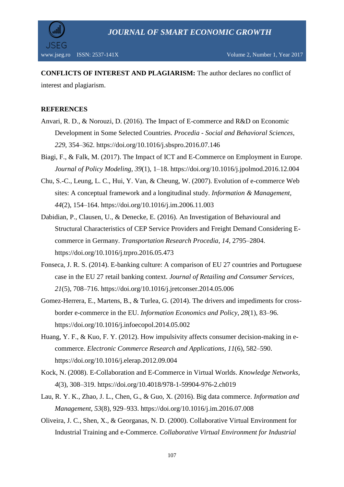

**CONFLICTS OF INTEREST AND PLAGIARISM:** The author declares no conflict of interest and plagiarism.

## **REFERENCES**

- Anvari, R. D., & Norouzi, D. (2016). The Impact of E-commerce and R&D on Economic Development in Some Selected Countries. *Procedia - Social and Behavioral Sciences*, *229*, 354–362. https://doi.org/10.1016/j.sbspro.2016.07.146
- Biagi, F., & Falk, M. (2017). The Impact of ICT and E-Commerce on Employment in Europe. *Journal of Policy Modeling*, *39*(1), 1–18. https://doi.org/10.1016/j.jpolmod.2016.12.004
- Chu, S.-C., Leung, L. C., Hui, Y. Van, & Cheung, W. (2007). Evolution of e-commerce Web sites: A conceptual framework and a longitudinal study. *Information & Management*, *44*(2), 154–164. https://doi.org/10.1016/j.im.2006.11.003
- Dabidian, P., Clausen, U., & Denecke, E. (2016). An Investigation of Behavioural and Structural Characteristics of CEP Service Providers and Freight Demand Considering Ecommerce in Germany. *Transportation Research Procedia*, *14*, 2795–2804. https://doi.org/10.1016/j.trpro.2016.05.473
- Fonseca, J. R. S. (2014). E-banking culture: A comparison of EU 27 countries and Portuguese case in the EU 27 retail banking context. *Journal of Retailing and Consumer Services*, *21*(5), 708–716. https://doi.org/10.1016/j.jretconser.2014.05.006
- Gomez-Herrera, E., Martens, B., & Turlea, G. (2014). The drivers and impediments for crossborder e-commerce in the EU. *Information Economics and Policy*, *28*(1), 83–96. https://doi.org/10.1016/j.infoecopol.2014.05.002
- Huang, Y. F., & Kuo, F. Y. (2012). How impulsivity affects consumer decision-making in ecommerce. *Electronic Commerce Research and Applications*, *11*(6), 582–590. https://doi.org/10.1016/j.elerap.2012.09.004
- Kock, N. (2008). E-Collaboration and E-Commerce in Virtual Worlds. *Knowledge Networks*, *4*(3), 308–319. https://doi.org/10.4018/978-1-59904-976-2.ch019
- Lau, R. Y. K., Zhao, J. L., Chen, G., & Guo, X. (2016). Big data commerce. *Information and Management*, *53*(8), 929–933. https://doi.org/10.1016/j.im.2016.07.008
- Oliveira, J. C., Shen, X., & Georganas, N. D. (2000). Collaborative Virtual Environment for Industrial Training and e-Commerce. *Collaborative Virtual Environment for Industrial*